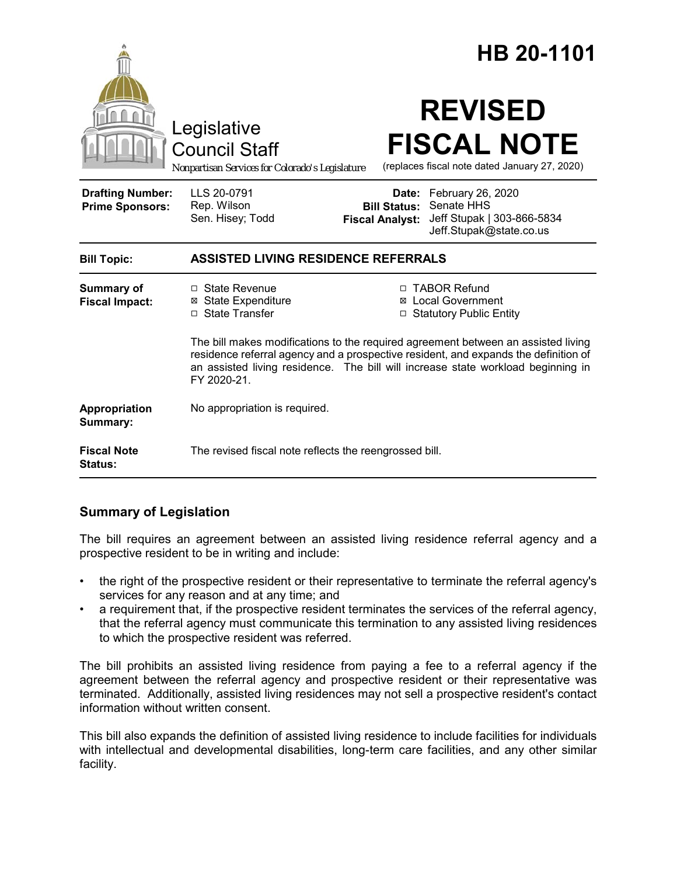|                                                   |                                                                                                                                                                                                                                                                             |                                                        | HB 20-1101                                                                               |
|---------------------------------------------------|-----------------------------------------------------------------------------------------------------------------------------------------------------------------------------------------------------------------------------------------------------------------------------|--------------------------------------------------------|------------------------------------------------------------------------------------------|
|                                                   | Legislative<br><b>Council Staff</b><br>Nonpartisan Services for Colorado's Legislature                                                                                                                                                                                      |                                                        | <b>REVISED</b><br><b>FISCAL NOTE</b><br>(replaces fiscal note dated January 27, 2020)    |
| <b>Drafting Number:</b><br><b>Prime Sponsors:</b> | LLS 20-0791<br>Rep. Wilson<br>Sen. Hisey; Todd                                                                                                                                                                                                                              | Date:<br><b>Bill Status:</b><br><b>Fiscal Analyst:</b> | February 26, 2020<br>Senate HHS<br>Jeff Stupak   303-866-5834<br>Jeff.Stupak@state.co.us |
| <b>Bill Topic:</b>                                | <b>ASSISTED LIVING RESIDENCE REFERRALS</b>                                                                                                                                                                                                                                  |                                                        |                                                                                          |
| <b>Summary of</b><br><b>Fiscal Impact:</b>        | $\Box$ State Revenue<br><b>⊠</b> State Expenditure<br>□ State Transfer                                                                                                                                                                                                      |                                                        | □ TABOR Refund<br>⊠ Local Government<br>□ Statutory Public Entity                        |
|                                                   | The bill makes modifications to the required agreement between an assisted living<br>residence referral agency and a prospective resident, and expands the definition of<br>an assisted living residence. The bill will increase state workload beginning in<br>FY 2020-21. |                                                        |                                                                                          |
| Appropriation<br>Summary:                         | No appropriation is required.                                                                                                                                                                                                                                               |                                                        |                                                                                          |
| <b>Fiscal Note</b><br><b>Status:</b>              | The revised fiscal note reflects the reengrossed bill.                                                                                                                                                                                                                      |                                                        |                                                                                          |

# **Summary of Legislation**

The bill requires an agreement between an assisted living residence referral agency and a prospective resident to be in writing and include:

- the right of the prospective resident or their representative to terminate the referral agency's services for any reason and at any time; and
- a requirement that, if the prospective resident terminates the services of the referral agency, that the referral agency must communicate this termination to any assisted living residences to which the prospective resident was referred.

The bill prohibits an assisted living residence from paying a fee to a referral agency if the agreement between the referral agency and prospective resident or their representative was terminated. Additionally, assisted living residences may not sell a prospective resident's contact information without written consent.

This bill also expands the definition of assisted living residence to include facilities for individuals with intellectual and developmental disabilities, long-term care facilities, and any other similar facility.